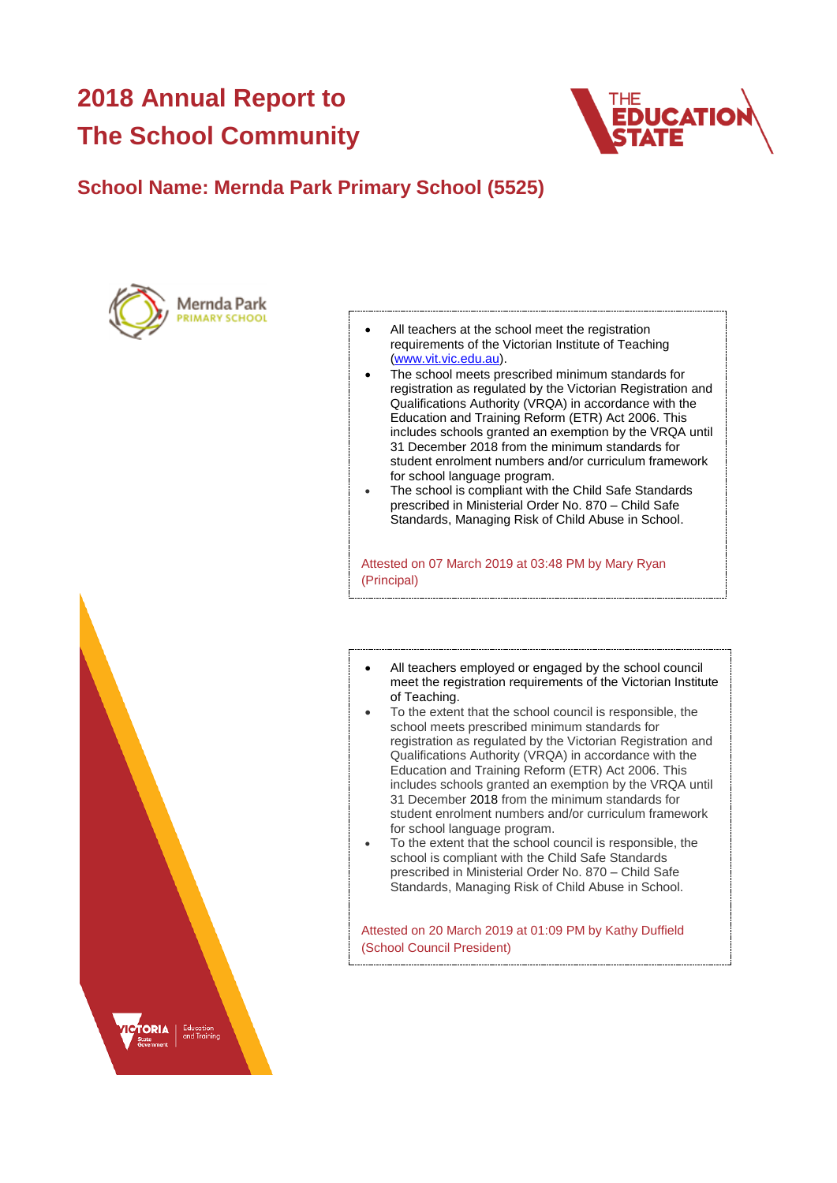# **2018 Annual Report to The School Community**



### **School Name: Mernda Park Primary School (5525)**





- All teachers at the school meet the registration requirements of the Victorian Institute of Teaching [\(www.vit.vic.edu.au\)](https://www.vit.vic.edu.au/).
- The school meets prescribed minimum standards for registration as regulated by the Victorian Registration and Qualifications Authority (VRQA) in accordance with the Education and Training Reform (ETR) Act 2006. This includes schools granted an exemption by the VRQA until 31 December 2018 from the minimum standards for student enrolment numbers and/or curriculum framework for school language program.
- The school is compliant with the Child Safe Standards prescribed in Ministerial Order No. 870 – Child Safe Standards, Managing Risk of Child Abuse in School.

Attested on 07 March 2019 at 03:48 PM by Mary Ryan (Principal)

- All teachers employed or engaged by the school council meet the registration requirements of the Victorian Institute of Teaching.
- To the extent that the school council is responsible, the school meets prescribed minimum standards for registration as regulated by the Victorian Registration and Qualifications Authority (VRQA) in accordance with the Education and Training Reform (ETR) Act 2006. This includes schools granted an exemption by the VRQA until 31 December 2018 from the minimum standards for student enrolment numbers and/or curriculum framework for school language program.
- To the extent that the school council is responsible, the school is compliant with the Child Safe Standards prescribed in Ministerial Order No. 870 – Child Safe Standards, Managing Risk of Child Abuse in School.

Attested on 20 March 2019 at 01:09 PM by Kathy Duffield (School Council President)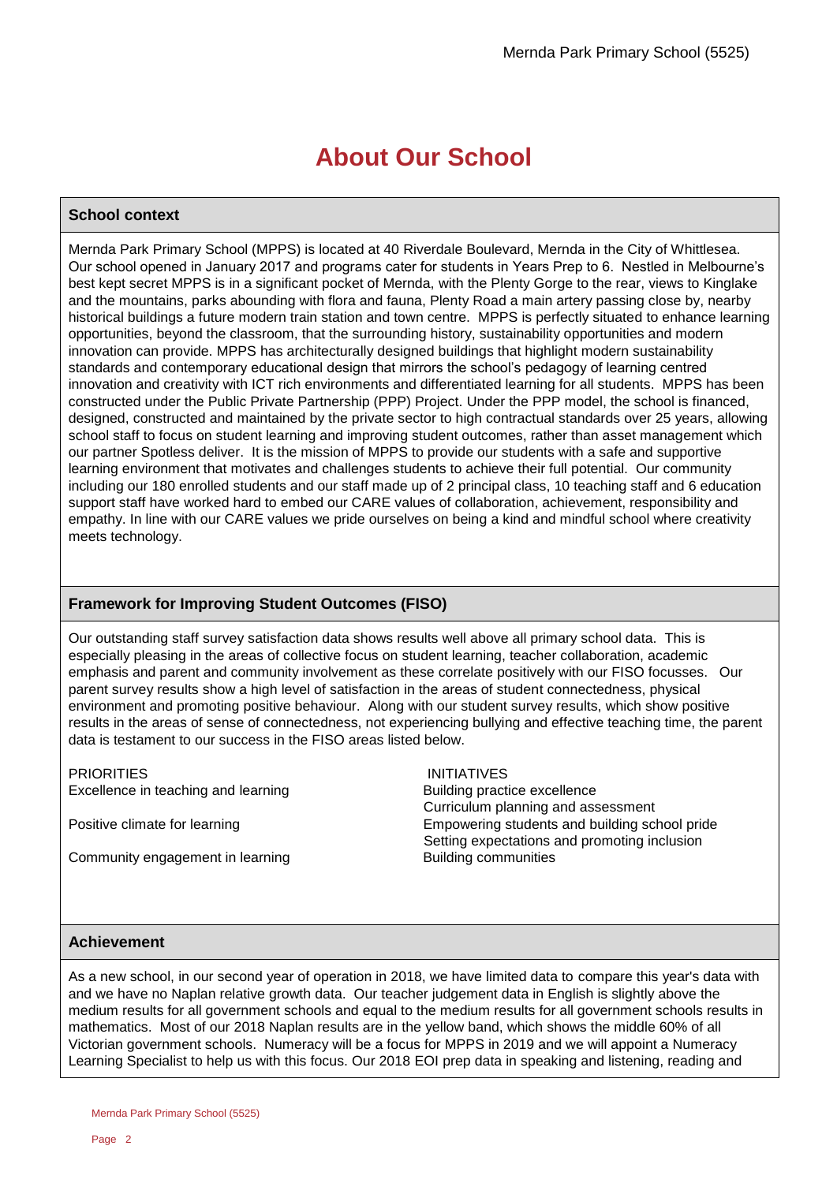# **About Our School**

### **School context**

Mernda Park Primary School (MPPS) is located at 40 Riverdale Boulevard, Mernda in the City of Whittlesea. Our school opened in January 2017 and programs cater for students in Years Prep to 6. Nestled in Melbourne's best kept secret MPPS is in a significant pocket of Mernda, with the Plenty Gorge to the rear, views to Kinglake and the mountains, parks abounding with flora and fauna, Plenty Road a main artery passing close by, nearby historical buildings a future modern train station and town centre. MPPS is perfectly situated to enhance learning opportunities, beyond the classroom, that the surrounding history, sustainability opportunities and modern innovation can provide. MPPS has architecturally designed buildings that highlight modern sustainability standards and contemporary educational design that mirrors the school's pedagogy of learning centred innovation and creativity with ICT rich environments and differentiated learning for all students. MPPS has been constructed under the Public Private Partnership (PPP) Project. Under the PPP model, the school is financed, designed, constructed and maintained by the private sector to high contractual standards over 25 years, allowing school staff to focus on student learning and improving student outcomes, rather than asset management which our partner Spotless deliver. It is the mission of MPPS to provide our students with a safe and supportive learning environment that motivates and challenges students to achieve their full potential. Our community including our 180 enrolled students and our staff made up of 2 principal class, 10 teaching staff and 6 education support staff have worked hard to embed our CARE values of collaboration, achievement, responsibility and empathy. In line with our CARE values we pride ourselves on being a kind and mindful school where creativity meets technology.

### **Framework for Improving Student Outcomes (FISO)**

Our outstanding staff survey satisfaction data shows results well above all primary school data. This is especially pleasing in the areas of collective focus on student learning, teacher collaboration, academic emphasis and parent and community involvement as these correlate positively with our FISO focusses. Our parent survey results show a high level of satisfaction in the areas of student connectedness, physical environment and promoting positive behaviour. Along with our student survey results, which show positive results in the areas of sense of connectedness, not experiencing bullying and effective teaching time, the parent data is testament to our success in the FISO areas listed below.

PRIORITIES INITIATIVES Excellence in teaching and learning Building practice excellence

Community engagement in learning Europe Building communities

 Curriculum planning and assessment Positive climate for learning The Empowering Students and building school pride Setting expectations and promoting inclusion

### **Achievement**

As a new school, in our second year of operation in 2018, we have limited data to compare this year's data with and we have no Naplan relative growth data. Our teacher judgement data in English is slightly above the medium results for all government schools and equal to the medium results for all government schools results in mathematics. Most of our 2018 Naplan results are in the yellow band, which shows the middle 60% of all Victorian government schools. Numeracy will be a focus for MPPS in 2019 and we will appoint a Numeracy Learning Specialist to help us with this focus. Our 2018 EOI prep data in speaking and listening, reading and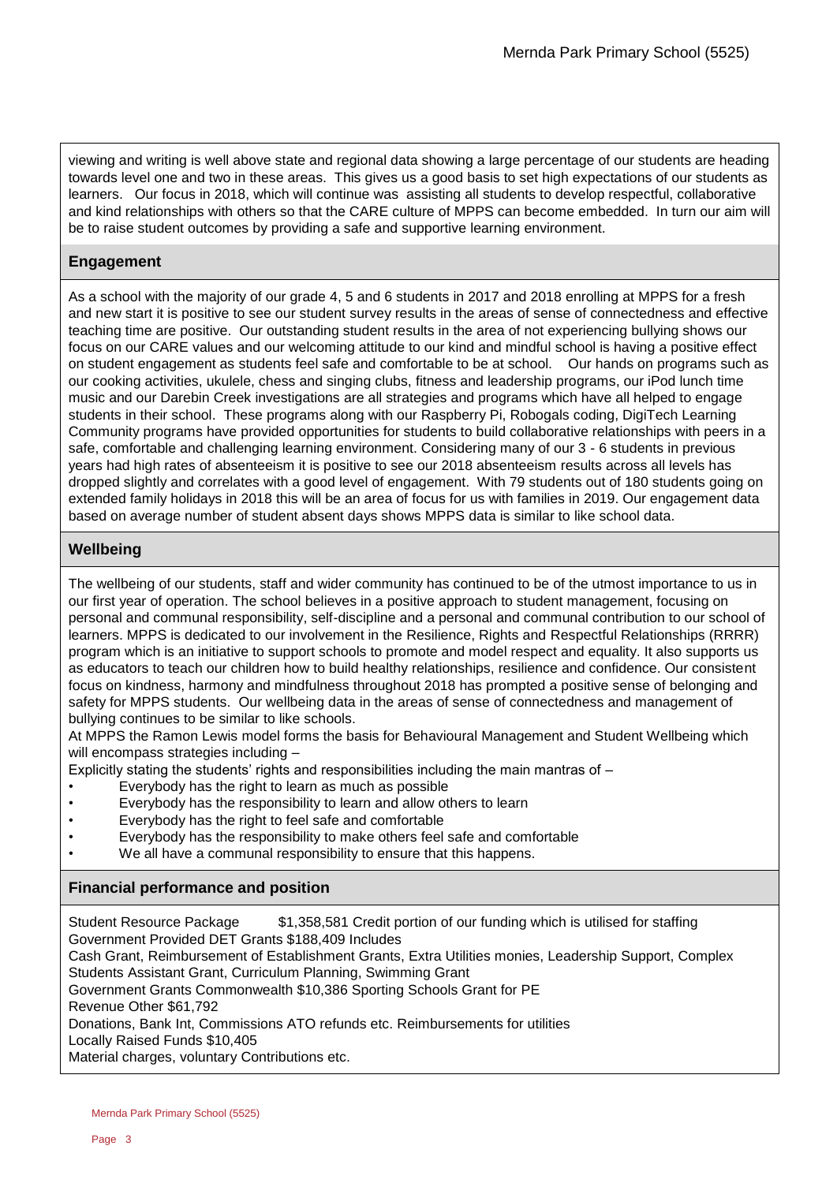viewing and writing is well above state and regional data showing a large percentage of our students are heading towards level one and two in these areas. This gives us a good basis to set high expectations of our students as learners. Our focus in 2018, which will continue was assisting all students to develop respectful, collaborative and kind relationships with others so that the CARE culture of MPPS can become embedded. In turn our aim will be to raise student outcomes by providing a safe and supportive learning environment.

### **Engagement**

As a school with the majority of our grade 4, 5 and 6 students in 2017 and 2018 enrolling at MPPS for a fresh and new start it is positive to see our student survey results in the areas of sense of connectedness and effective teaching time are positive. Our outstanding student results in the area of not experiencing bullying shows our focus on our CARE values and our welcoming attitude to our kind and mindful school is having a positive effect on student engagement as students feel safe and comfortable to be at school. Our hands on programs such as our cooking activities, ukulele, chess and singing clubs, fitness and leadership programs, our iPod lunch time music and our Darebin Creek investigations are all strategies and programs which have all helped to engage students in their school. These programs along with our Raspberry Pi, Robogals coding, DigiTech Learning Community programs have provided opportunities for students to build collaborative relationships with peers in a safe, comfortable and challenging learning environment. Considering many of our 3 - 6 students in previous years had high rates of absenteeism it is positive to see our 2018 absenteeism results across all levels has dropped slightly and correlates with a good level of engagement. With 79 students out of 180 students going on extended family holidays in 2018 this will be an area of focus for us with families in 2019. Our engagement data based on average number of student absent days shows MPPS data is similar to like school data.

### **Wellbeing**

The wellbeing of our students, staff and wider community has continued to be of the utmost importance to us in our first year of operation. The school believes in a positive approach to student management, focusing on personal and communal responsibility, self-discipline and a personal and communal contribution to our school of learners. MPPS is dedicated to our involvement in the Resilience, Rights and Respectful Relationships (RRRR) program which is an initiative to support schools to promote and model respect and equality. It also supports us as educators to teach our children how to build healthy relationships, resilience and confidence. Our consistent focus on kindness, harmony and mindfulness throughout 2018 has prompted a positive sense of belonging and safety for MPPS students. Our wellbeing data in the areas of sense of connectedness and management of bullying continues to be similar to like schools.

At MPPS the Ramon Lewis model forms the basis for Behavioural Management and Student Wellbeing which will encompass strategies including -

Explicitly stating the students' rights and responsibilities including the main mantras of  $-$ 

- Everybody has the right to learn as much as possible
- Everybody has the responsibility to learn and allow others to learn
- Everybody has the right to feel safe and comfortable
- Everybody has the responsibility to make others feel safe and comfortable
- We all have a communal responsibility to ensure that this happens.

### **Financial performance and position**

Student Resource Package \$1,358,581 Credit portion of our funding which is utilised for staffing Government Provided DET Grants \$188,409 Includes Cash Grant, Reimbursement of Establishment Grants, Extra Utilities monies, Leadership Support, Complex Students Assistant Grant, Curriculum Planning, Swimming Grant Government Grants Commonwealth \$10,386 Sporting Schools Grant for PE Revenue Other \$61,792 Donations, Bank Int, Commissions ATO refunds etc. Reimbursements for utilities Locally Raised Funds \$10,405 Material charges, voluntary Contributions etc.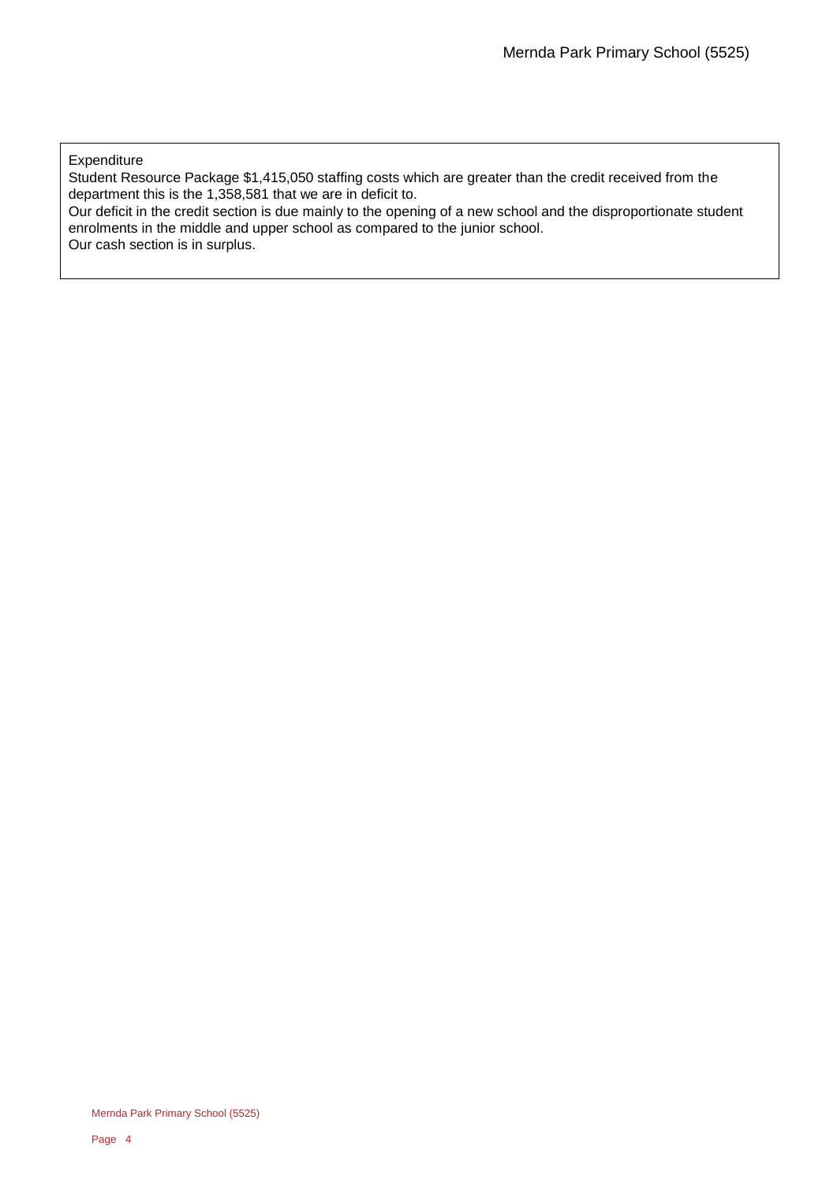**Expenditure** 

Student Resource Package \$1,415,050 staffing costs which are greater than the credit received from the department this is the 1,358,581 that we are in deficit to.

Our deficit in the credit section is due mainly to the opening of a new school and the disproportionate student enrolments in the middle and upper school as compared to the junior school. Our cash section is in surplus.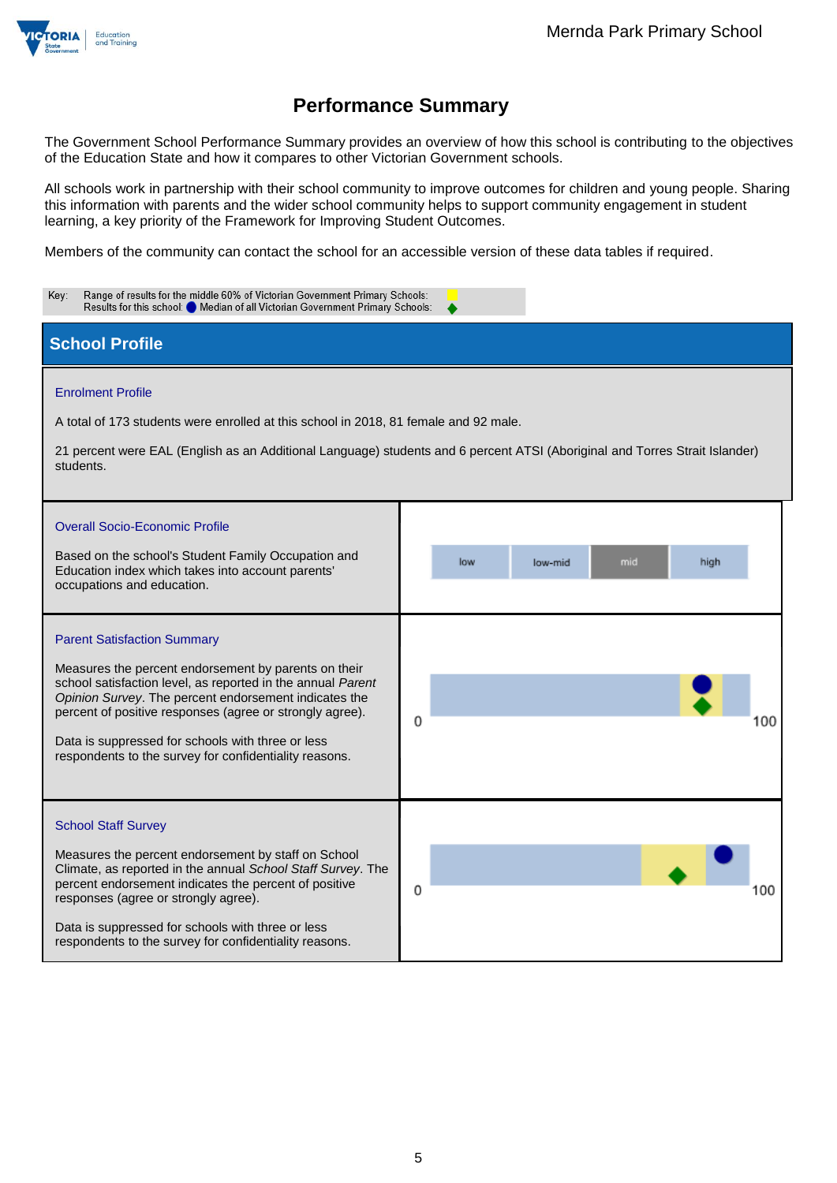

The Government School Performance Summary provides an overview of how this school is contributing to the objectives of the Education State and how it compares to other Victorian Government schools.

All schools work in partnership with their school community to improve outcomes for children and young people. Sharing this information with parents and the wider school community helps to support community engagement in student learning, a key priority of the Framework for Improving Student Outcomes.

Members of the community can contact the school for an accessible version of these data tables if required.

| Range of results for the middle 60% of Victorian Government Primary Schools:<br>Key:<br>Results for this school: Median of all Victorian Government Primary Schools:                                                                                                                                                                                                                          |                               |  |  |  |  |  |  |
|-----------------------------------------------------------------------------------------------------------------------------------------------------------------------------------------------------------------------------------------------------------------------------------------------------------------------------------------------------------------------------------------------|-------------------------------|--|--|--|--|--|--|
| <b>School Profile</b>                                                                                                                                                                                                                                                                                                                                                                         |                               |  |  |  |  |  |  |
| <b>Enrolment Profile</b><br>A total of 173 students were enrolled at this school in 2018, 81 female and 92 male.<br>21 percent were EAL (English as an Additional Language) students and 6 percent ATSI (Aboriginal and Torres Strait Islander)<br>students.                                                                                                                                  |                               |  |  |  |  |  |  |
| <b>Overall Socio-Economic Profile</b><br>Based on the school's Student Family Occupation and<br>Education index which takes into account parents'<br>occupations and education.                                                                                                                                                                                                               | low<br>mid<br>high<br>low-mid |  |  |  |  |  |  |
| <b>Parent Satisfaction Summary</b><br>Measures the percent endorsement by parents on their<br>school satisfaction level, as reported in the annual Parent<br>Opinion Survey. The percent endorsement indicates the<br>percent of positive responses (agree or strongly agree).<br>Data is suppressed for schools with three or less<br>respondents to the survey for confidentiality reasons. | 0<br>100                      |  |  |  |  |  |  |
| <b>School Staff Survey</b><br>Measures the percent endorsement by staff on School<br>Climate, as reported in the annual School Staff Survey. The<br>percent endorsement indicates the percent of positive<br>responses (agree or strongly agree).<br>Data is suppressed for schools with three or less<br>respondents to the survey for confidentiality reasons.                              | 0<br>100                      |  |  |  |  |  |  |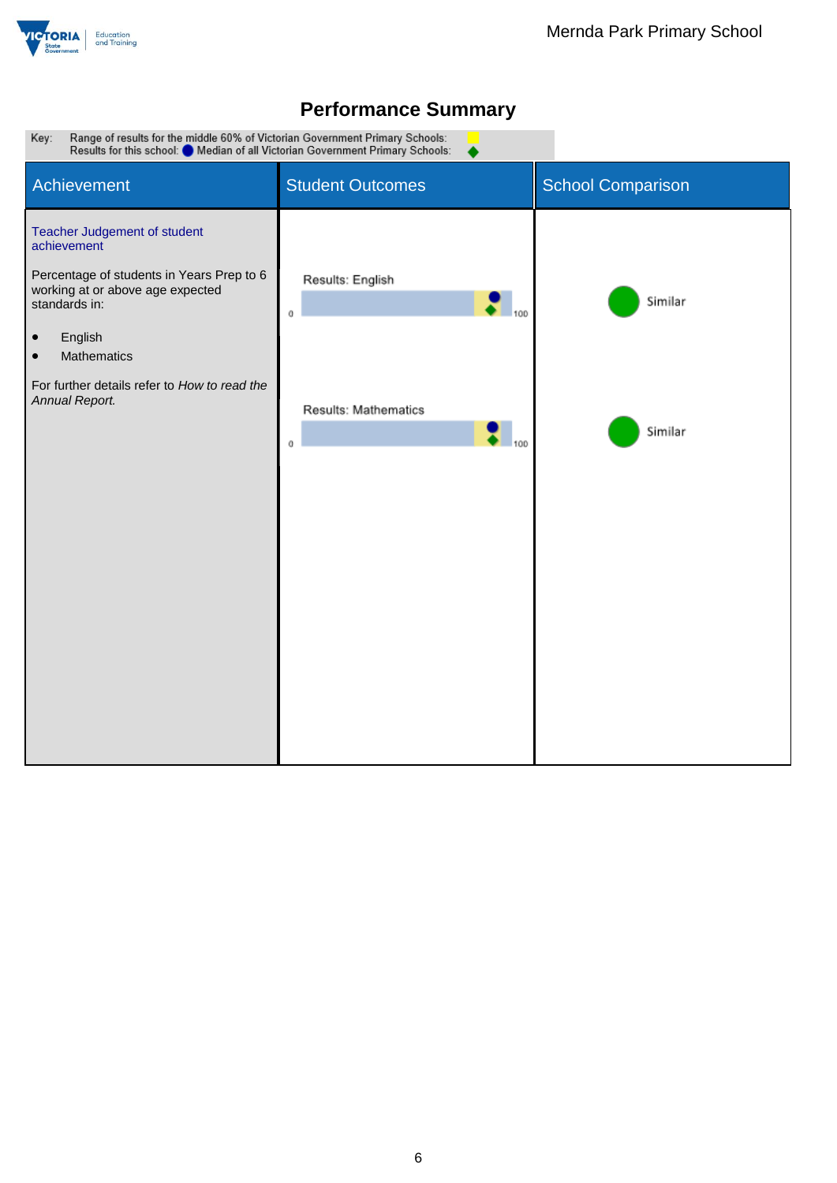

▲

Range of results for the middle 60% of Victorian Government Primary Schools:<br>Results for this school: O Median of all Victorian Government Primary Schools: Key:

| Achievement                                                                                                                                                                                                                                       | <b>Student Outcomes</b>                    | <b>School Comparison</b> |
|---------------------------------------------------------------------------------------------------------------------------------------------------------------------------------------------------------------------------------------------------|--------------------------------------------|--------------------------|
| Teacher Judgement of student<br>achievement<br>Percentage of students in Years Prep to 6<br>working at or above age expected<br>standards in:<br>English<br>$\bullet$<br>Mathematics<br>$\bullet$<br>For further details refer to How to read the | Results: English<br>$\bullet$ 100<br>0     | Similar                  |
| Annual Report.                                                                                                                                                                                                                                    | Results: Mathematics<br>$\bullet$ 100<br>0 | Similar                  |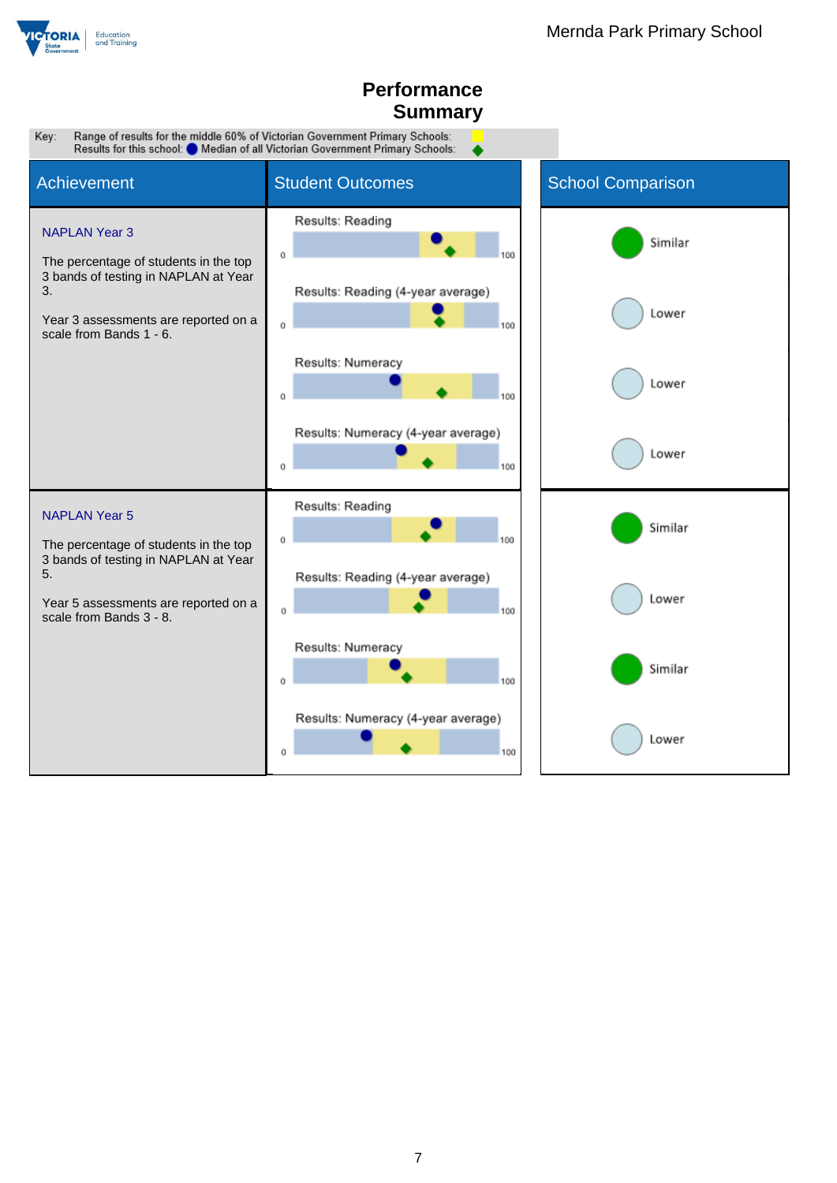

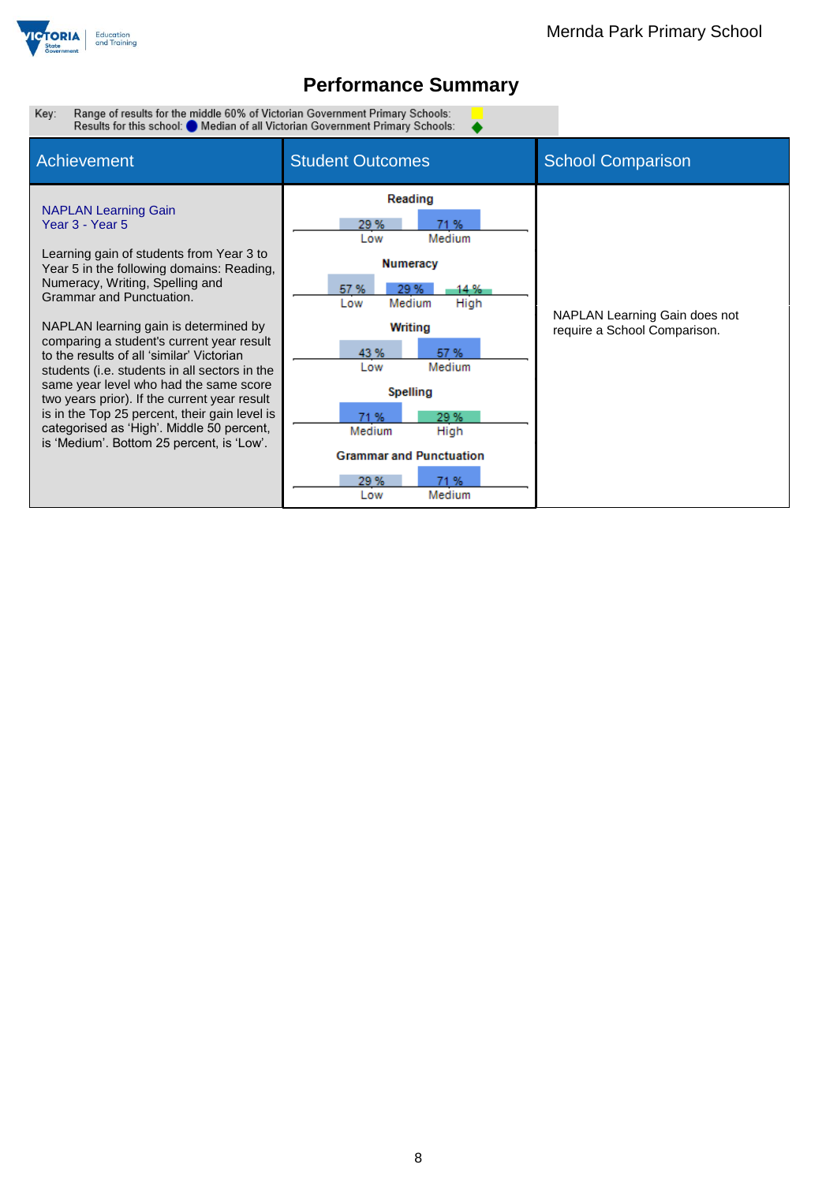

 $\bullet$ 

Range of results for the middle 60% of Victorian Government Primary Schools:<br>Results for this school: O Median of all Victorian Government Primary Schools: Key:

| <b>Achievement</b>                                                                                                                                                                                                                                                                                                                                                                                                                                                                                                                                                                                                              | <b>Student Outcomes</b>                                                                                                                                                                                                                                              | <b>School Comparison</b>                                      |
|---------------------------------------------------------------------------------------------------------------------------------------------------------------------------------------------------------------------------------------------------------------------------------------------------------------------------------------------------------------------------------------------------------------------------------------------------------------------------------------------------------------------------------------------------------------------------------------------------------------------------------|----------------------------------------------------------------------------------------------------------------------------------------------------------------------------------------------------------------------------------------------------------------------|---------------------------------------------------------------|
| <b>NAPLAN Learning Gain</b><br>Year 3 - Year 5<br>Learning gain of students from Year 3 to<br>Year 5 in the following domains: Reading,<br>Numeracy, Writing, Spelling and<br>Grammar and Punctuation.<br>NAPLAN learning gain is determined by<br>comparing a student's current year result<br>to the results of all 'similar' Victorian<br>students (i.e. students in all sectors in the<br>same year level who had the same score<br>two years prior). If the current year result<br>is in the Top 25 percent, their gain level is<br>categorised as 'High'. Middle 50 percent,<br>is 'Medium'. Bottom 25 percent, is 'Low'. | Reading<br>29%<br>71%<br>Medium<br>Low<br><b>Numeracy</b><br>29 %<br>14 %<br>57 %<br>Medium<br>High<br>Low<br>Writing<br>57%<br>43%<br>Medium<br>Low<br>Spelling<br>29 %<br>71%<br>Medium<br>High<br><b>Grammar and Punctuation</b><br>29 %<br>71 %<br>Medium<br>Low | NAPLAN Learning Gain does not<br>require a School Comparison. |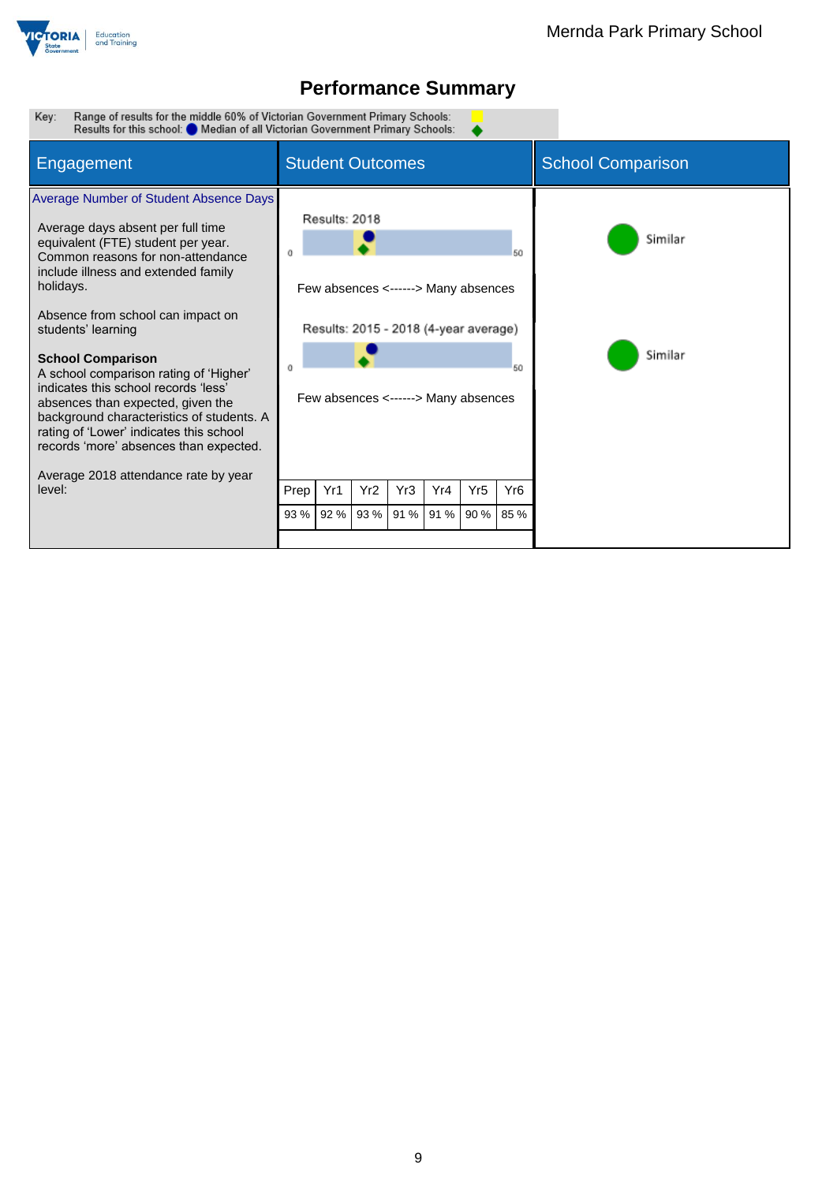

Range of results for the middle 60% of Victorian Government Primary Schools:<br>Results for this school: O Median of all Victorian Government Primary Schools: Key:

| Engagement                                                                                                                                                                                                                                                                                                                                                                          | <b>Student Outcomes</b>                                                                                                                                                     |                                                                                                           |  |  |  |  | <b>School Comparison</b> |  |
|-------------------------------------------------------------------------------------------------------------------------------------------------------------------------------------------------------------------------------------------------------------------------------------------------------------------------------------------------------------------------------------|-----------------------------------------------------------------------------------------------------------------------------------------------------------------------------|-----------------------------------------------------------------------------------------------------------|--|--|--|--|--------------------------|--|
| Average Number of Student Absence Days<br>Average days absent per full time<br>equivalent (FTE) student per year.<br>Common reasons for non-attendance<br>include illness and extended family<br>holidays.<br>Absence from school can impact on<br>students' learning<br><b>School Comparison</b><br>A school comparison rating of 'Higher'<br>indicates this school records 'less' |                                                                                                                                                                             | Results: 2018<br>50<br>Few absences <------> Many absences<br>Results: 2015 - 2018 (4-year average)<br>50 |  |  |  |  | Similar<br>Similar       |  |
| absences than expected, given the<br>background characteristics of students. A<br>rating of 'Lower' indicates this school<br>records 'more' absences than expected.<br>Average 2018 attendance rate by year<br>level:                                                                                                                                                               | Few absences <------> Many absences<br>Yr1<br>Yr <sub>2</sub><br>Yr <sub>5</sub><br>Yr3<br>Yr4<br>Yr <sub>6</sub><br>Prep<br>93 %<br>92 %<br>91 % 91 %<br>90 % 85 %<br>93 % |                                                                                                           |  |  |  |  |                          |  |
|                                                                                                                                                                                                                                                                                                                                                                                     |                                                                                                                                                                             |                                                                                                           |  |  |  |  |                          |  |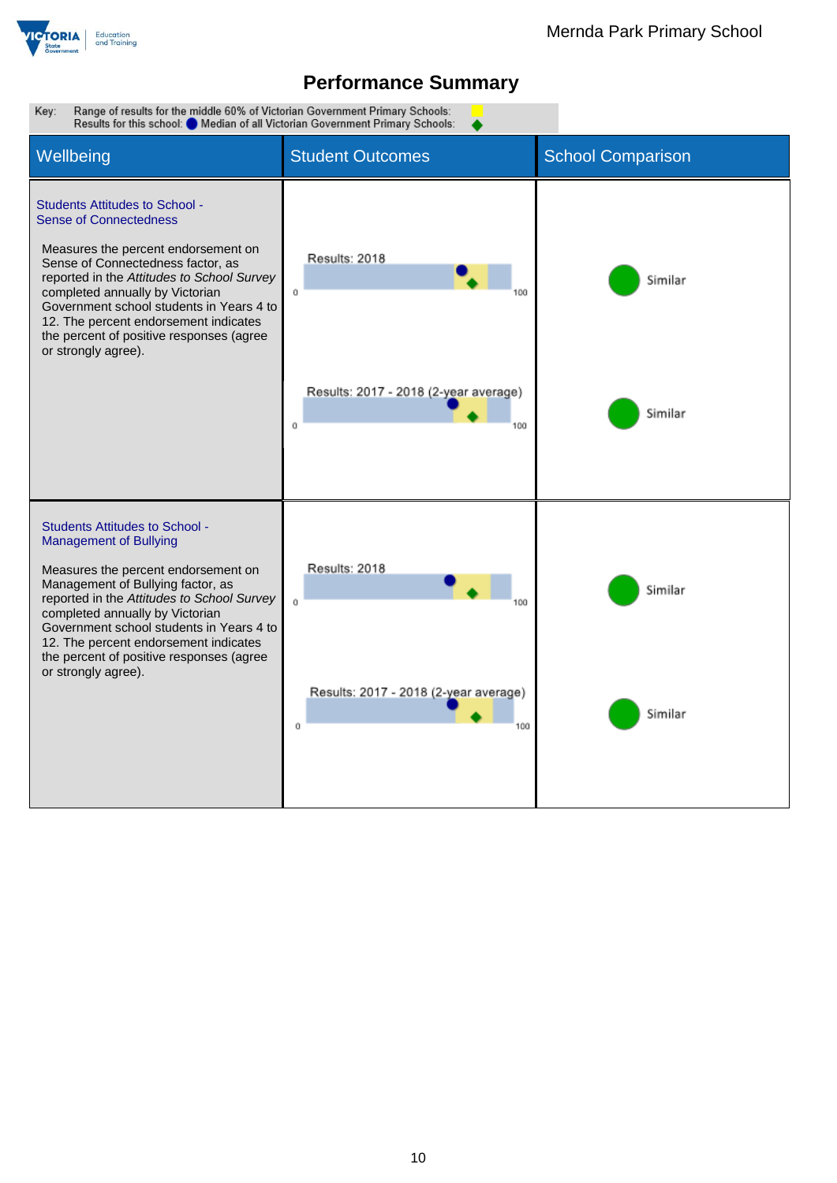

Key: Range of results for the middle 60% of Victorian Government Primary Schools: Results for this school: Median of all Victorian Government Primary Schools: Wellbeing **Student Outcomes** School Comparison Students Attitudes to School - Sense of Connectedness Measures the percent endorsement on Results: 2018 Sense of Connectedness factor, as reported in the *Attitudes to School Survey* Similar completed annually by Victorian  $\mathfrak{o}$ 100 Government school students in Years 4 to 12. The percent endorsement indicates the percent of positive responses (agree or strongly agree). Results: 2017 - 2018 (2-year average) Similar  $\mathbf{o}$ 100 Students Attitudes to School - Management of Bullying Results: 2018 Measures the percent endorsement on Management of Bullying factor, as Similar reported in the *Attitudes to School Survey*  $\alpha$ 100 completed annually by Victorian Government school students in Years 4 to 12. The percent endorsement indicates the percent of positive responses (agree or strongly agree).Results: 2017 - 2018 (2-year average) Similar  $\alpha$ 100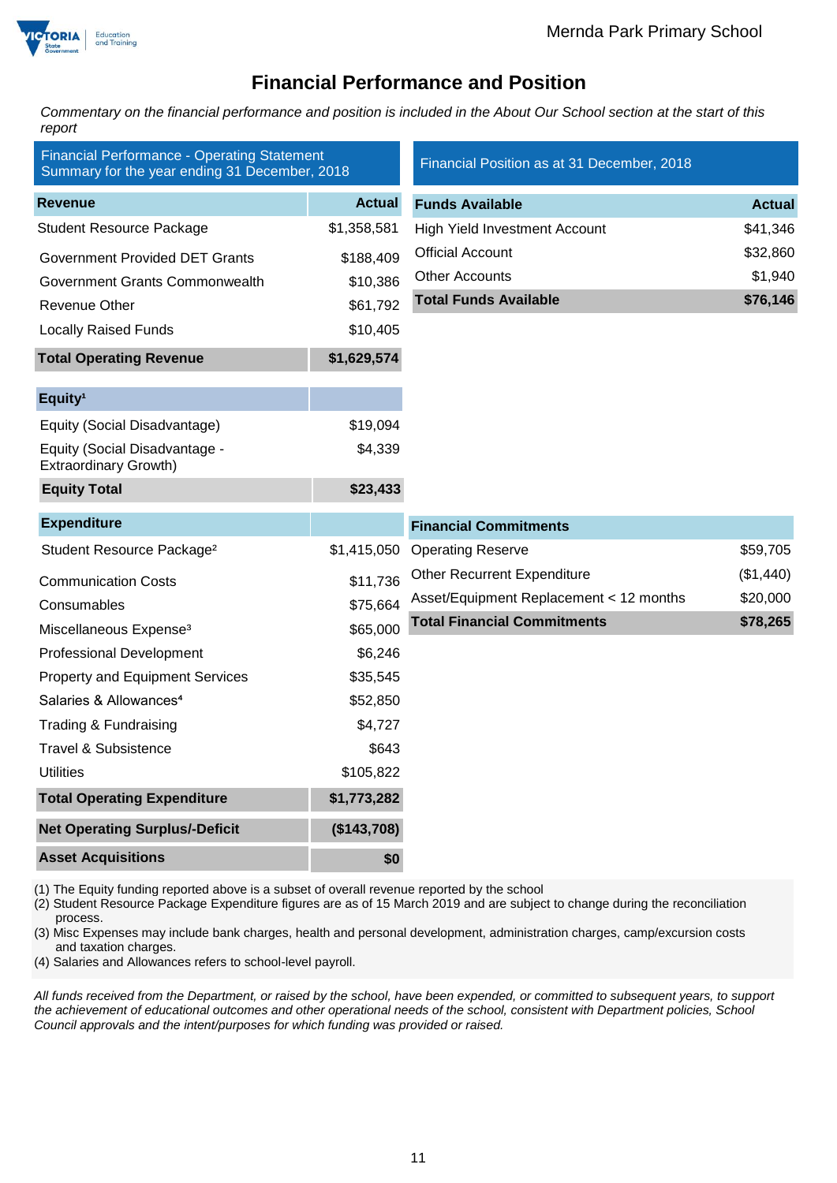

### **Financial Performance and Position**

*Commentary on the financial performance and position is included in the About Our School section at the start of this report*

| <b>Financial Performance - Operating Statement</b><br>Summary for the year ending 31 December, 2018 |               | Financial Position as at 31 December, 2018 |               |  |
|-----------------------------------------------------------------------------------------------------|---------------|--------------------------------------------|---------------|--|
| <b>Revenue</b>                                                                                      | <b>Actual</b> | <b>Funds Available</b>                     | <b>Actual</b> |  |
| <b>Student Resource Package</b>                                                                     | \$1,358,581   | <b>High Yield Investment Account</b>       | \$41,346      |  |
| <b>Government Provided DET Grants</b>                                                               | \$188,409     | <b>Official Account</b>                    | \$32,860      |  |
| Government Grants Commonwealth                                                                      | \$10,386      | <b>Other Accounts</b>                      | \$1,940       |  |
| <b>Revenue Other</b>                                                                                | \$61,792      | <b>Total Funds Available</b>               | \$76,146      |  |
| <b>Locally Raised Funds</b>                                                                         | \$10,405      |                                            |               |  |
| <b>Total Operating Revenue</b>                                                                      | \$1,629,574   |                                            |               |  |
| Equity <sup>1</sup>                                                                                 |               |                                            |               |  |
| Equity (Social Disadvantage)                                                                        | \$19,094      |                                            |               |  |
| Equity (Social Disadvantage -<br><b>Extraordinary Growth)</b>                                       | \$4,339       |                                            |               |  |
| <b>Equity Total</b>                                                                                 | \$23,433      |                                            |               |  |
| <b>Expenditure</b>                                                                                  |               | <b>Financial Commitments</b>               |               |  |
| Student Resource Package <sup>2</sup>                                                               | \$1,415,050   | <b>Operating Reserve</b>                   | \$59,705      |  |
| <b>Communication Costs</b>                                                                          | \$11,736      | <b>Other Recurrent Expenditure</b>         | (\$1,440)     |  |
| Consumables                                                                                         | \$75,664      | Asset/Equipment Replacement < 12 months    | \$20,000      |  |
| Miscellaneous Expense <sup>3</sup>                                                                  | \$65,000      | <b>Total Financial Commitments</b>         | \$78,265      |  |
| <b>Professional Development</b>                                                                     | \$6,246       |                                            |               |  |
| <b>Property and Equipment Services</b>                                                              | \$35,545      |                                            |               |  |
| Salaries & Allowances <sup>4</sup>                                                                  | \$52,850      |                                            |               |  |
| Trading & Fundraising                                                                               | \$4,727       |                                            |               |  |
| <b>Travel &amp; Subsistence</b>                                                                     | \$643         |                                            |               |  |
| <b>Utilities</b>                                                                                    | \$105,822     |                                            |               |  |
| <b>Total Operating Expenditure</b>                                                                  | \$1,773,282   |                                            |               |  |
| <b>Net Operating Surplus/-Deficit</b>                                                               | (\$143,708)   |                                            |               |  |
| <b>Asset Acquisitions</b>                                                                           | \$0           |                                            |               |  |

(1) The Equity funding reported above is a subset of overall revenue reported by the school

(2) Student Resource Package Expenditure figures are as of 15 March 2019 and are subject to change during the reconciliation process.

(3) Misc Expenses may include bank charges, health and personal development, administration charges, camp/excursion costs and taxation charges.

(4) Salaries and Allowances refers to school-level payroll.

*All funds received from the Department, or raised by the school, have been expended, or committed to subsequent years, to support the achievement of educational outcomes and other operational needs of the school, consistent with Department policies, School Council approvals and the intent/purposes for which funding was provided or raised.*